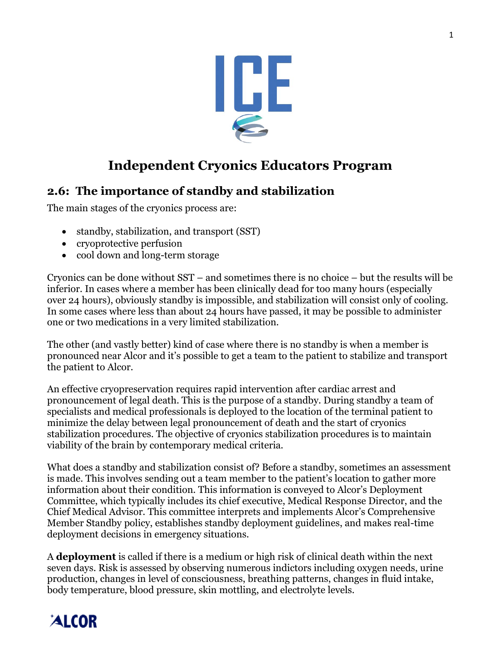

### **Independent Cryonics Educators Program**

### **2.6: The importance of standby and stabilization**

The main stages of the cryonics process are:

- standby, stabilization, and transport *(SST)*
- cryoprotective perfusion
- cool down and long-term storage

Cryonics can be done without SST – and sometimes there is no choice – but the results will be inferior. In cases where a member has been clinically dead for too many hours (especially over 24 hours), obviously standby is impossible, and stabilization will consist only of cooling. In some cases where less than about 24 hours have passed, it may be possible to administer one or two medications in a very limited stabilization.

The other (and vastly better) kind of case where there is no standby is when a member is pronounced near Alcor and it's possible to get a team to the patient to stabilize and transport the patient to Alcor.

An effective cryopreservation requires rapid intervention after cardiac arrest and pronouncement of legal death. This is the purpose of a standby. During standby a team of specialists and medical professionals is deployed to the location of the terminal patient to minimize the delay between legal pronouncement of death and the start of cryonics stabilization procedures. The objective of cryonics stabilization procedures is to maintain viability of the brain by contemporary medical criteria.

What does a standby and stabilization consist of? Before a standby, sometimes an assessment is made. This involves sending out a team member to the patient's location to gather more information about their condition. This information is conveyed to Alcor's Deployment Committee, which typically includes its chief executive, Medical Response Director, and the Chief Medical Advisor. This committee interprets and implements Alcor's Comprehensive Member Standby policy, establishes standby deployment guidelines, and makes real-time deployment decisions in emergency situations.

A **deployment** is called if there is a medium or high risk of clinical death within the next seven days. Risk is assessed by observing numerous indictors including oxygen needs, urine production, changes in level of consciousness, breathing patterns, changes in fluid intake, body temperature, blood pressure, skin mottling, and electrolyte levels.

# **ALCOR**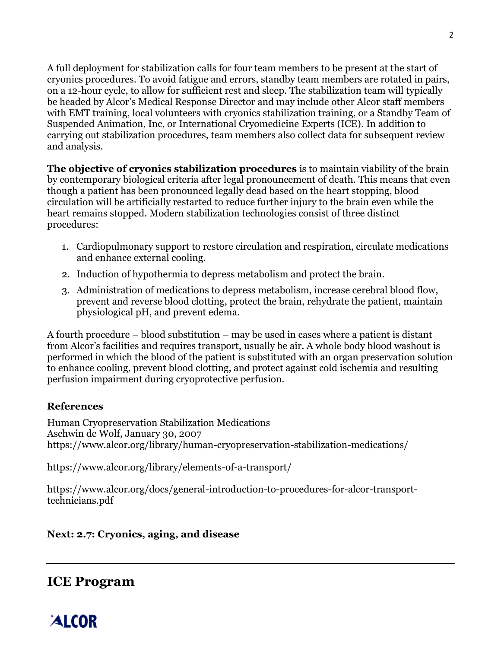A full deployment for stabilization calls for four team members to be present at the start of cryonics procedures. To avoid fatigue and errors, standby team members are rotated in pairs, on a 12-hour cycle, to allow for sufficient rest and sleep. The stabilization team will typically be headed by Alcor's Medical Response Director and may include other Alcor staff members with EMT training, local volunteers with cryonics stabilization training, or a Standby Team of Suspended Animation, Inc, or International Cryomedicine Experts (ICE). In addition to carrying out stabilization procedures, team members also collect data for subsequent review and analysis.

**The objective of cryonics stabilization procedures** is to maintain viability of the brain by contemporary biological criteria after legal pronouncement of death. This means that even though a patient has been pronounced legally dead based on the heart stopping, blood circulation will be artificially restarted to reduce further injury to the brain even while the heart remains stopped. Modern stabilization technologies consist of three distinct procedures:

- 1. Cardiopulmonary support to restore circulation and respiration, circulate medications and enhance external cooling.
- 2. Induction of hypothermia to depress metabolism and protect the brain.
- 3. Administration of medications to depress metabolism, increase cerebral blood flow, prevent and reverse blood clotting, protect the brain, rehydrate the patient, maintain physiological pH, and prevent edema.

A fourth procedure – blood substitution – may be used in cases where a patient is distant from Alcor's facilities and requires transport, usually be air. A whole body blood washout is performed in which the blood of the patient is substituted with an organ preservation solution to enhance cooling, prevent blood clotting, and protect against cold ischemia and resulting perfusion impairment during cryoprotective perfusion.

#### **References**

Human Cryopreservation Stabilization Medications Aschwin de Wolf, January 30, 2007 https://www.alcor.org/library/human-cryopreservation-stabilization-medications/

https://www.alcor.org/library/elements-of-a-transport/

https://www.alcor.org/docs/general-introduction-to-procedures-for-alcor-transporttechnicians.pdf

#### **Next: 2.7: Cryonics, aging, and disease**

### **ICE Program**

## **ALCOR**